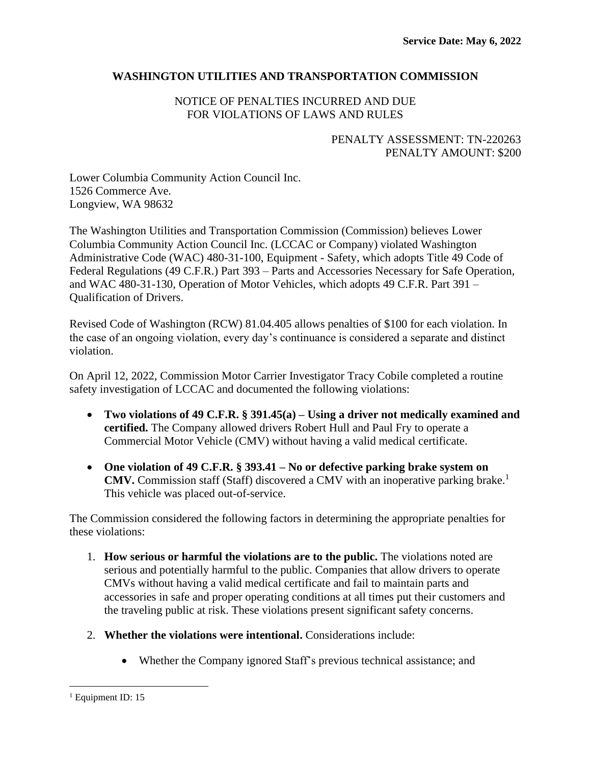# **WASHINGTON UTILITIES AND TRANSPORTATION COMMISSION**

# NOTICE OF PENALTIES INCURRED AND DUE FOR VIOLATIONS OF LAWS AND RULES

# PENALTY ASSESSMENT: TN-220263 PENALTY AMOUNT: \$200

Lower Columbia Community Action Council Inc. 1526 Commerce Ave. Longview, WA 98632

The Washington Utilities and Transportation Commission (Commission) believes Lower Columbia Community Action Council Inc. (LCCAC or Company) violated Washington Administrative Code (WAC) 480-31-100, Equipment - Safety, which adopts Title 49 Code of Federal Regulations (49 C.F.R.) Part 393 – Parts and Accessories Necessary for Safe Operation, and WAC 480-31-130, Operation of Motor Vehicles, which adopts 49 C.F.R. Part 391 – Qualification of Drivers.

Revised Code of Washington (RCW) 81.04.405 allows penalties of \$100 for each violation. In the case of an ongoing violation, every day's continuance is considered a separate and distinct violation.

On April 12, 2022, Commission Motor Carrier Investigator Tracy Cobile completed a routine safety investigation of LCCAC and documented the following violations:

- **Two violations of 49 C.F.R. § 391.45(a) – Using a driver not medically examined and certified.** The Company allowed drivers Robert Hull and Paul Fry to operate a Commercial Motor Vehicle (CMV) without having a valid medical certificate.
- **One violation of 49 C.F.R. § 393.41 – No or defective parking brake system on CMV.** Commission staff (Staff) discovered a CMV with an inoperative parking brake. 1 This vehicle was placed out-of-service.

The Commission considered the following factors in determining the appropriate penalties for these violations:

- 1. **How serious or harmful the violations are to the public.** The violations noted are serious and potentially harmful to the public. Companies that allow drivers to operate CMVs without having a valid medical certificate and fail to maintain parts and accessories in safe and proper operating conditions at all times put their customers and the traveling public at risk. These violations present significant safety concerns.
- 2. **Whether the violations were intentional.** Considerations include:
	- Whether the Company ignored Staff's previous technical assistance; and

 $<sup>1</sup>$  Equipment ID: 15</sup>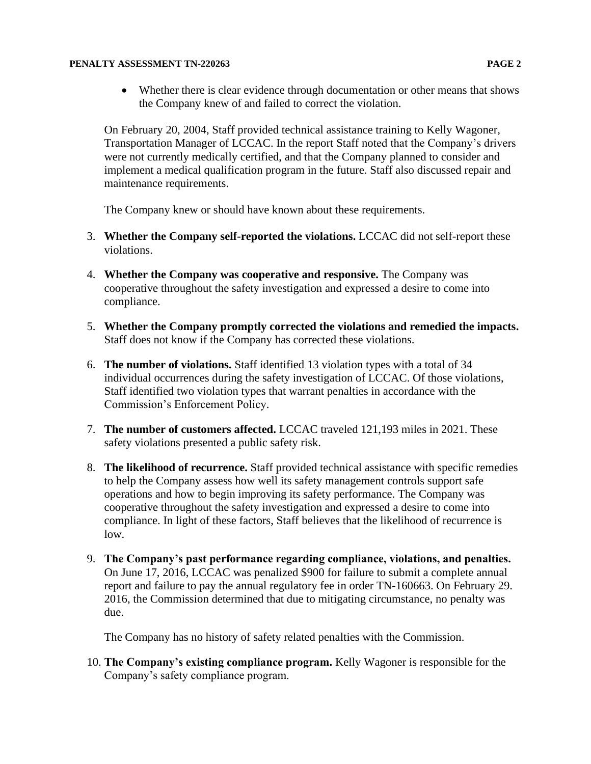#### **PENALTY ASSESSMENT TN-220263 PAGE 2**

• Whether there is clear evidence through documentation or other means that shows the Company knew of and failed to correct the violation.

On February 20, 2004, Staff provided technical assistance training to Kelly Wagoner, Transportation Manager of LCCAC. In the report Staff noted that the Company's drivers were not currently medically certified, and that the Company planned to consider and implement a medical qualification program in the future. Staff also discussed repair and maintenance requirements.

The Company knew or should have known about these requirements.

- 3. **Whether the Company self-reported the violations.** LCCAC did not self-report these violations.
- 4. **Whether the Company was cooperative and responsive.** The Company was cooperative throughout the safety investigation and expressed a desire to come into compliance.
- 5. **Whether the Company promptly corrected the violations and remedied the impacts.**  Staff does not know if the Company has corrected these violations.
- 6. **The number of violations.** Staff identified 13 violation types with a total of 34 individual occurrences during the safety investigation of LCCAC. Of those violations, Staff identified two violation types that warrant penalties in accordance with the Commission's Enforcement Policy.
- 7. **The number of customers affected.** LCCAC traveled 121,193 miles in 2021. These safety violations presented a public safety risk.
- 8. **The likelihood of recurrence.** Staff provided technical assistance with specific remedies to help the Company assess how well its safety management controls support safe operations and how to begin improving its safety performance. The Company was cooperative throughout the safety investigation and expressed a desire to come into compliance. In light of these factors, Staff believes that the likelihood of recurrence is low.
- 9. **The Company's past performance regarding compliance, violations, and penalties.**  On June 17, 2016, LCCAC was penalized \$900 for failure to submit a complete annual report and failure to pay the annual regulatory fee in order TN-160663. On February 29. 2016, the Commission determined that due to mitigating circumstance, no penalty was due.

The Company has no history of safety related penalties with the Commission.

10. **The Company's existing compliance program.** Kelly Wagoner is responsible for the Company's safety compliance program.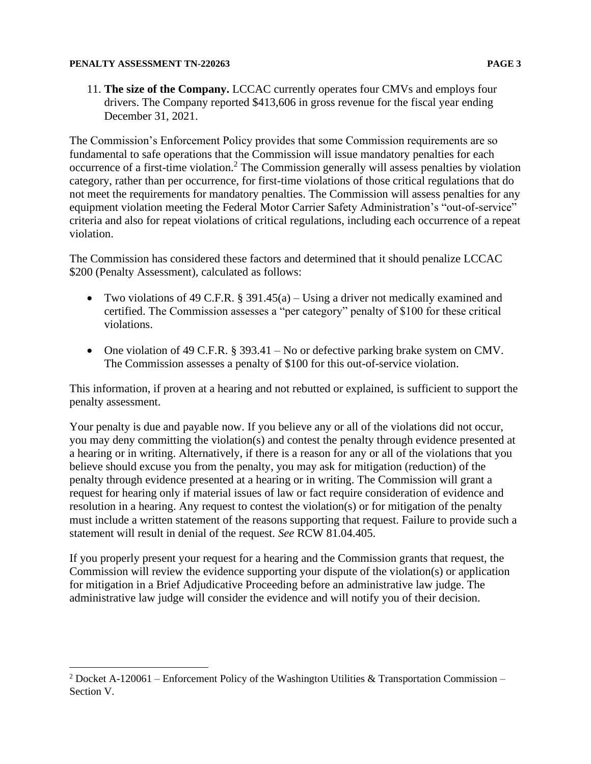#### **PENALTY ASSESSMENT TN-220263 PAGE 3**

11. **The size of the Company.** LCCAC currently operates four CMVs and employs four drivers. The Company reported \$413,606 in gross revenue for the fiscal year ending December 31, 2021.

The Commission's Enforcement Policy provides that some Commission requirements are so fundamental to safe operations that the Commission will issue mandatory penalties for each occurrence of a first-time violation.<sup>2</sup> The Commission generally will assess penalties by violation category, rather than per occurrence, for first-time violations of those critical regulations that do not meet the requirements for mandatory penalties. The Commission will assess penalties for any equipment violation meeting the Federal Motor Carrier Safety Administration's "out-of-service" criteria and also for repeat violations of critical regulations, including each occurrence of a repeat violation.

The Commission has considered these factors and determined that it should penalize LCCAC \$200 (Penalty Assessment), calculated as follows:

- Two violations of 49 C.F.R. § 391.45(a) Using a driver not medically examined and certified. The Commission assesses a "per category" penalty of \$100 for these critical violations.
- One violation of 49 C.F.R. § 393.41 No or defective parking brake system on CMV. The Commission assesses a penalty of \$100 for this out-of-service violation.

This information, if proven at a hearing and not rebutted or explained, is sufficient to support the penalty assessment.

Your penalty is due and payable now. If you believe any or all of the violations did not occur, you may deny committing the violation(s) and contest the penalty through evidence presented at a hearing or in writing. Alternatively, if there is a reason for any or all of the violations that you believe should excuse you from the penalty, you may ask for mitigation (reduction) of the penalty through evidence presented at a hearing or in writing. The Commission will grant a request for hearing only if material issues of law or fact require consideration of evidence and resolution in a hearing. Any request to contest the violation(s) or for mitigation of the penalty must include a written statement of the reasons supporting that request. Failure to provide such a statement will result in denial of the request. *See* RCW 81.04.405.

If you properly present your request for a hearing and the Commission grants that request, the Commission will review the evidence supporting your dispute of the violation(s) or application for mitigation in a Brief Adjudicative Proceeding before an administrative law judge. The administrative law judge will consider the evidence and will notify you of their decision.

<sup>&</sup>lt;sup>2</sup> Docket A-120061 – Enforcement Policy of the Washington Utilities & Transportation Commission – Section V.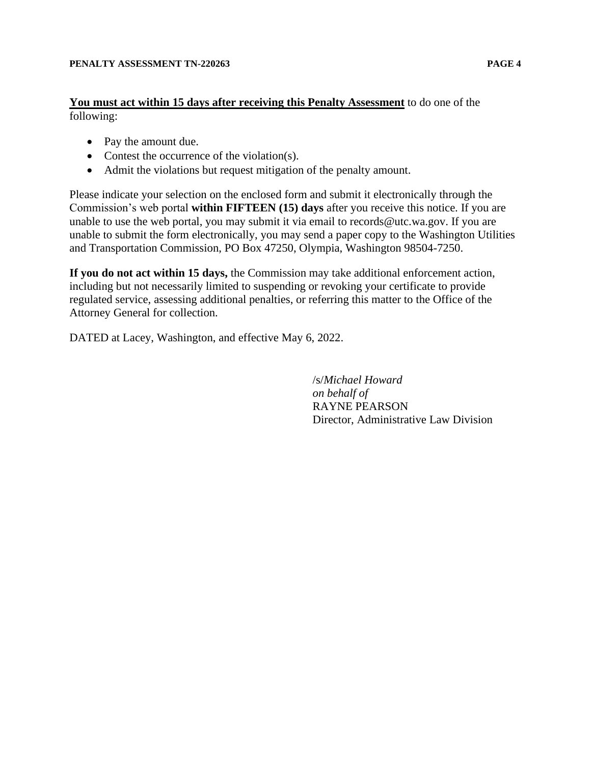**You must act within 15 days after receiving this Penalty Assessment** to do one of the following:

- Pay the amount due.
- Contest the occurrence of the violation(s).
- Admit the violations but request mitigation of the penalty amount.

Please indicate your selection on the enclosed form and submit it electronically through the Commission's web portal **within FIFTEEN (15) days** after you receive this notice. If you are unable to use the web portal, you may submit it via email to records@utc.wa.gov. If you are unable to submit the form electronically, you may send a paper copy to the Washington Utilities and Transportation Commission, PO Box 47250, Olympia, Washington 98504-7250.

**If you do not act within 15 days,** the Commission may take additional enforcement action, including but not necessarily limited to suspending or revoking your certificate to provide regulated service, assessing additional penalties, or referring this matter to the Office of the Attorney General for collection.

DATED at Lacey, Washington, and effective May 6, 2022.

/s/*Michael Howard on behalf of* RAYNE PEARSON Director, Administrative Law Division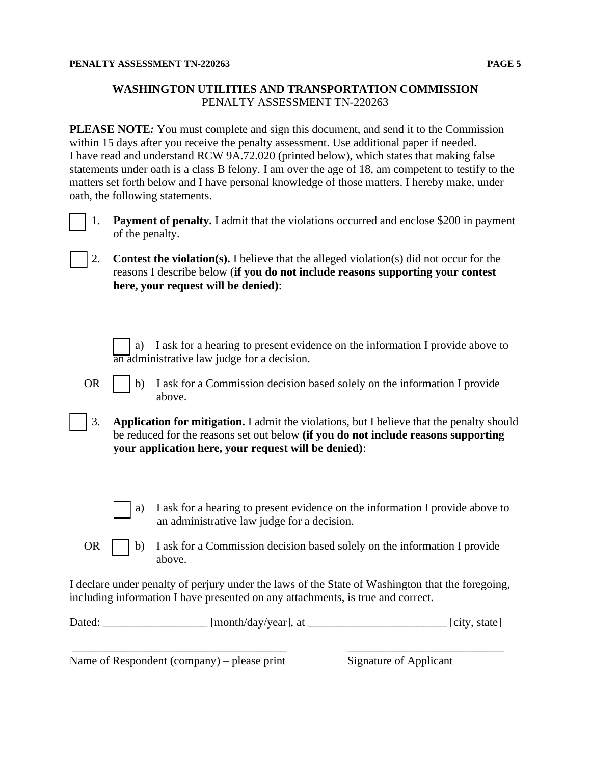## **WASHINGTON UTILITIES AND TRANSPORTATION COMMISSION** PENALTY ASSESSMENT TN-220263

**PLEASE NOTE***:* You must complete and sign this document, and send it to the Commission within 15 days after you receive the penalty assessment. Use additional paper if needed. I have read and understand RCW 9A.72.020 (printed below), which states that making false statements under oath is a class B felony. I am over the age of 18, am competent to testify to the matters set forth below and I have personal knowledge of those matters. I hereby make, under oath, the following statements.



[ ] 1. **Payment of penalty.** I admit that the violations occurred and enclose \$200 in payment of the penalty.

[ ] 2. **Contest the violation(s).** I believe that the alleged violation(s) did not occur for the reasons I describe below (**if you do not include reasons supporting your contest here, your request will be denied)**:

a) I ask for a hearing to present evidence on the information I provide above to an administrative law judge for a decision.

OR  $\parallel$  b) I ask for a Commission decision based solely on the information I provide above.

- [ ] 3. **Application for mitigation.** I admit the violations, but I believe that the penalty should be reduced for the reasons set out below **(if you do not include reasons supporting your application here, your request will be denied)**:
	- a) I ask for a hearing to present evidence on the information I provide above to an administrative law judge for a decision.
- OR  $\parallel$  b) I ask for a Commission decision based solely on the information I provide above.

I declare under penalty of perjury under the laws of the State of Washington that the foregoing, including information I have presented on any attachments, is true and correct.

| Dated: | [month/day/year], at |  | [city, state] |
|--------|----------------------|--|---------------|
|--------|----------------------|--|---------------|

\_\_\_\_\_\_\_\_\_\_\_\_\_\_\_\_\_\_\_\_\_\_\_\_\_\_\_\_\_\_\_\_\_\_\_\_\_ \_\_\_\_\_\_\_\_\_\_\_\_\_\_\_\_\_\_\_\_\_\_\_\_\_\_\_

Name of Respondent (company) – please print Signature of Applicant